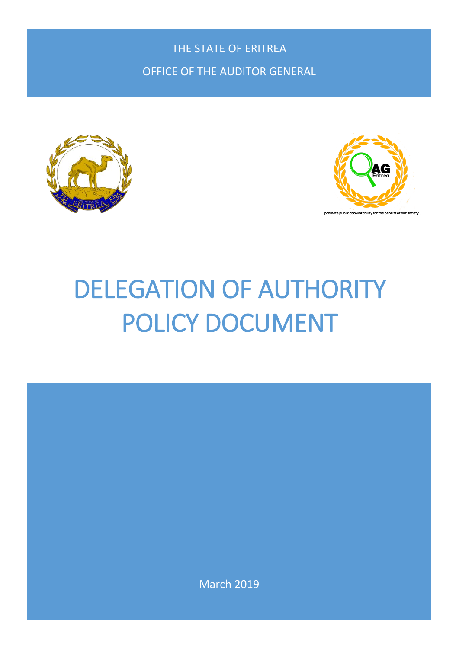THE STATE OF ERITREA OFFICE OF THE AUDITOR GENERAL





# DELEGATION OF AUTHORITY POLICY DOCUMENT

March 2019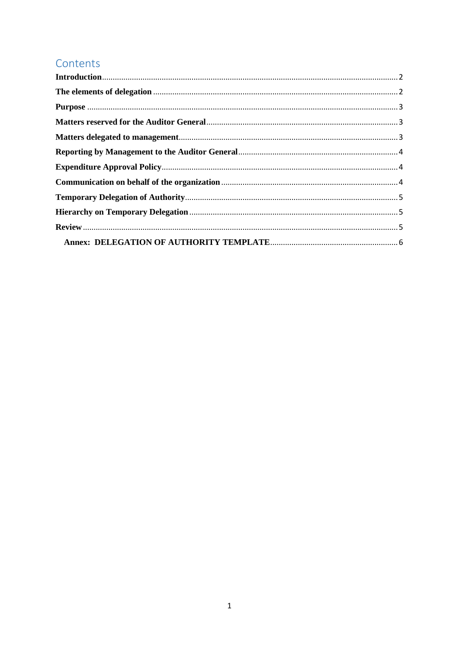## Contents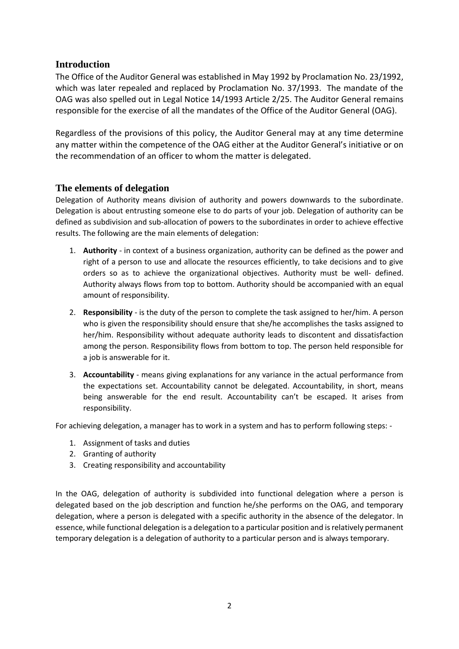#### <span id="page-2-0"></span>**Introduction**

The Office of the Auditor General was established in May 1992 by Proclamation No. 23/1992, which was later repealed and replaced by Proclamation No. 37/1993. The mandate of the OAG was also spelled out in Legal Notice 14/1993 Article 2/25. The Auditor General remains responsible for the exercise of all the mandates of the Office of the Auditor General (OAG).

Regardless of the provisions of this policy, the Auditor General may at any time determine any matter within the competence of the OAG either at the Auditor General's initiative or on the recommendation of an officer to whom the matter is delegated.

#### <span id="page-2-1"></span>**The elements of delegation**

Delegation of Authority means division of authority and powers downwards to the subordinate. Delegation is about entrusting someone else to do parts of your job. Delegation of authority can be defined as subdivision and sub-allocation of powers to the subordinates in order to achieve effective results. The following are the main elements of delegation:

- 1. **Authority** in context of a business organization, authority can be defined as the power and right of a person to use and allocate the resources efficiently, to take decisions and to give orders so as to achieve the organizational objectives. Authority must be well- defined. Authority always flows from top to bottom. Authority should be accompanied with an equal amount of responsibility.
- 2. **Responsibility** is the duty of the person to complete the task assigned to her/him. A person who is given the responsibility should ensure that she/he accomplishes the tasks assigned to her/him. Responsibility without adequate authority leads to discontent and dissatisfaction among the person. Responsibility flows from bottom to top. The person held responsible for a job is answerable for it.
- 3. **Accountability** means giving explanations for any variance in the actual performance from the expectations set. Accountability cannot be delegated. Accountability, in short, means being answerable for the end result. Accountability can't be escaped. It arises from responsibility.

For achieving delegation, a manager has to work in a system and has to perform following steps: -

- 1. Assignment of tasks and duties
- 2. Granting of authority
- 3. Creating responsibility and accountability

In the OAG, delegation of authority is subdivided into functional delegation where a person is delegated based on the job description and function he/she performs on the OAG, and temporary delegation, where a person is delegated with a specific authority in the absence of the delegator. In essence, while functional delegation is a delegation to a particular position and is relatively permanent temporary delegation is a delegation of authority to a particular person and is always temporary.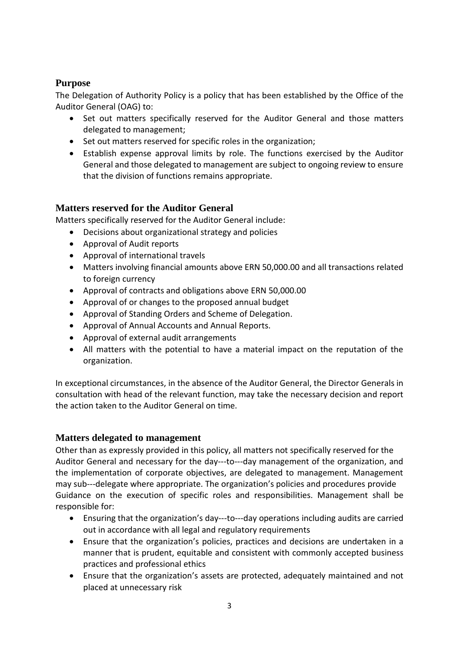## <span id="page-3-0"></span>**Purpose**

The Delegation of Authority Policy is a policy that has been established by the Office of the Auditor General (OAG) to:

- Set out matters specifically reserved for the Auditor General and those matters delegated to management;
- Set out matters reserved for specific roles in the organization;
- Establish expense approval limits by role. The functions exercised by the Auditor General and those delegated to management are subject to ongoing review to ensure that the division of functions remains appropriate.

## <span id="page-3-1"></span>**Matters reserved for the Auditor General**

Matters specifically reserved for the Auditor General include:

- Decisions about organizational strategy and policies
- Approval of Audit reports
- Approval of international travels
- Matters involving financial amounts above ERN 50,000.00 and all transactions related to foreign currency
- Approval of contracts and obligations above ERN 50,000.00
- Approval of or changes to the proposed annual budget
- Approval of Standing Orders and Scheme of Delegation.
- Approval of Annual Accounts and Annual Reports.
- Approval of external audit arrangements
- All matters with the potential to have a material impact on the reputation of the organization.

In exceptional circumstances, in the absence of the Auditor General, the Director Generals in consultation with head of the relevant function, may take the necessary decision and report the action taken to the Auditor General on time.

## <span id="page-3-2"></span>**Matters delegated to management**

Other than as expressly provided in this policy, all matters not specifically reserved for the Auditor General and necessary for the day---to---day management of the organization, and the implementation of corporate objectives, are delegated to management. Management may sub---delegate where appropriate. The organization's policies and procedures provide Guidance on the execution of specific roles and responsibilities. Management shall be responsible for:

- Ensuring that the organization's day--‐to--‐day operations including audits are carried out in accordance with all legal and regulatory requirements
- Ensure that the organization's policies, practices and decisions are undertaken in a manner that is prudent, equitable and consistent with commonly accepted business practices and professional ethics
- Ensure that the organization's assets are protected, adequately maintained and not placed at unnecessary risk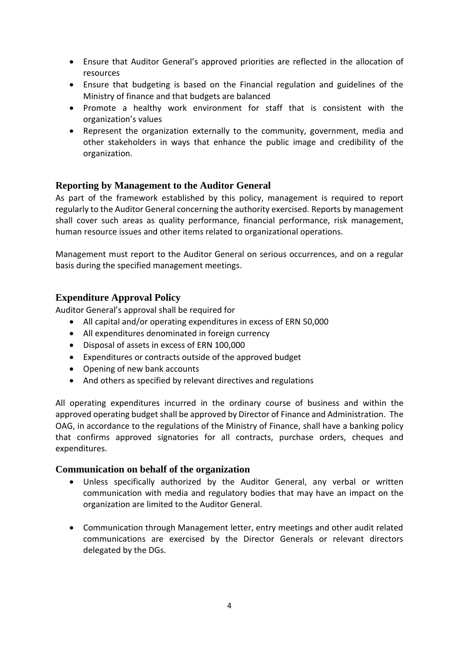- Ensure that Auditor General's approved priorities are reflected in the allocation of resources
- Ensure that budgeting is based on the Financial regulation and guidelines of the Ministry of finance and that budgets are balanced
- Promote a healthy work environment for staff that is consistent with the organization's values
- Represent the organization externally to the community, government, media and other stakeholders in ways that enhance the public image and credibility of the organization.

### <span id="page-4-0"></span>**Reporting by Management to the Auditor General**

As part of the framework established by this policy, management is required to report regularly to the Auditor General concerning the authority exercised. Reports by management shall cover such areas as quality performance, financial performance, risk management, human resource issues and other items related to organizational operations.

Management must report to the Auditor General on serious occurrences, and on a regular basis during the specified management meetings.

#### <span id="page-4-1"></span>**Expenditure Approval Policy**

Auditor General's approval shall be required for

- All capital and/or operating expenditures in excess of ERN 50,000
- All expenditures denominated in foreign currency
- Disposal of assets in excess of ERN 100,000
- Expenditures or contracts outside of the approved budget
- Opening of new bank accounts
- And others as specified by relevant directives and regulations

All operating expenditures incurred in the ordinary course of business and within the approved operating budget shall be approved by Director of Finance and Administration. The OAG, in accordance to the regulations of the Ministry of Finance, shall have a banking policy that confirms approved signatories for all contracts, purchase orders, cheques and expenditures.

#### <span id="page-4-2"></span>**Communication on behalf of the organization**

- Unless specifically authorized by the Auditor General, any verbal or written communication with media and regulatory bodies that may have an impact on the organization are limited to the Auditor General.
- Communication through Management letter, entry meetings and other audit related communications are exercised by the Director Generals or relevant directors delegated by the DGs.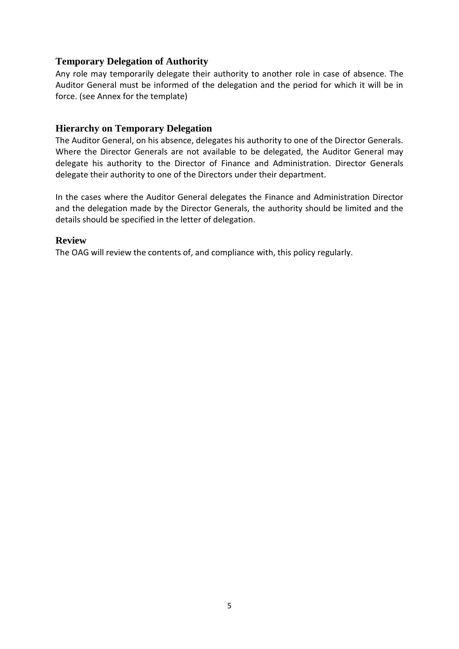#### <span id="page-5-0"></span>**Temporary Delegation of Authority**

Any role may temporarily delegate their authority to another role in case of absence. The Auditor General must be informed of the delegation and the period for which it will be in force. (see Annex for the template)

#### <span id="page-5-1"></span>**Hierarchy on Temporary Delegation**

The Auditor General, on his absence, delegates his authority to one of the Director Generals. Where the Director Generals are not available to be delegated, the Auditor General may delegate his authority to the Director of Finance and Administration. Director Generals delegate their authority to one of the Directors under their department.

In the cases where the Auditor General delegates the Finance and Administration Director and the delegation made by the Director Generals, the authority should be limited and the details should be specified in the letter of delegation.

#### <span id="page-5-2"></span>**Review**

The OAG will review the contents of, and compliance with, this policy regularly.